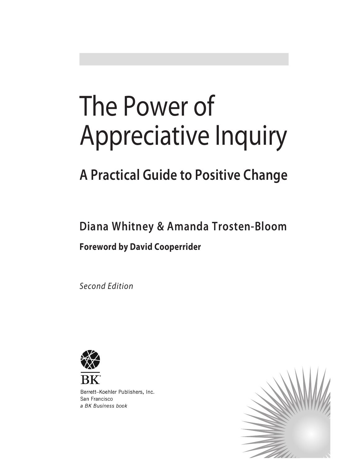# The Power of Appreciative Inquiry

## **A Practical Guide to Positive Change**

**Diana Whitney & Amanda Trosten-Bloom**

### **Foreword by David Cooperrider**

Second Edition



Berrett-Koehler Publishers, Inc. San Francisco a BK Business book

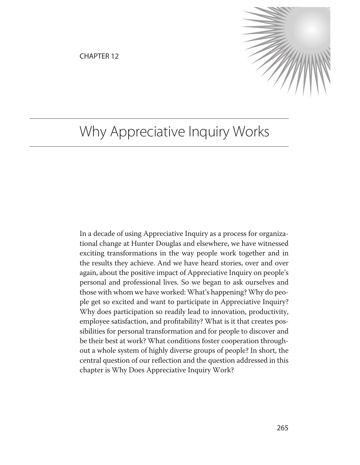CHAPTER 12



## Why Appreciative Inquiry Works

In a decade of using Appreciative Inquiry as a process for organizational change at Hunter Douglas and elsewhere, we have witnessed exciting transformations in the way people work together and in the results they achieve. And we have heard stories, over and over again, about the positive impact of Appreciative Inquiry on people's personal and professional lives. So we began to ask ourselves and those with whom we have worked: What's happening? Why do people get so excited and want to participate in Appreciative Inquiry? Why does participation so readily lead to innovation, productivity, employee satisfaction, and profitability? What is it that creates possibilities for personal transformation and for people to discover and be their best at work? What conditions foster cooperation throughout a whole system of highly diverse groups of people? In short, the central question of our reflection and the question addressed in this chapter is Why Does Appreciative Inquiry Work?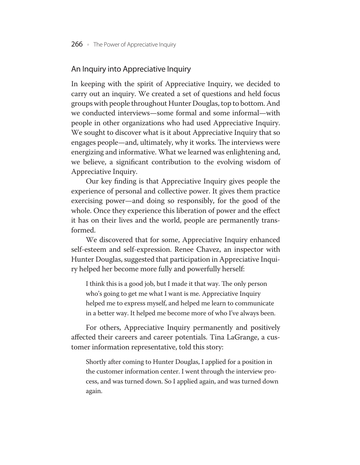#### An Inquiry into Appreciative Inquiry

In keeping with the spirit of Appreciative Inquiry, we decided to carry out an inquiry. We created a set of questions and held focus groups with people throughout Hunter Douglas, top to bottom. And we conducted interviews—some formal and some informal—with people in other organizations who had used Appreciative Inquiry. We sought to discover what is it about Appreciative Inquiry that so engages people—and, ultimately, why it works. The interviews were energizing and informative. What we learned was enlightening and, we believe, a significant contribution to the evolving wisdom of Appreciative Inquiry.

Our key finding is that Appreciative Inquiry gives people the experience of personal and collective power. It gives them practice exercising power—and doing so responsibly, for the good of the whole. Once they experience this liberation of power and the effect it has on their lives and the world, people are permanently transformed.

We discovered that for some, Appreciative Inquiry enhanced self-esteem and self-expression. Renee Chavez, an inspector with Hunter Douglas, suggested that participation in Appreciative Inquiry helped her become more fully and powerfully herself:

I think this is a good job, but I made it that way. The only person who's going to get me what I want is me. Appreciative Inquiry helped me to express myself, and helped me learn to communicate in a better way. It helped me become more of who I've always been.

For others, Appreciative Inquiry permanently and positively affected their careers and career potentials. Tina LaGrange, a customer information representative, told this story:

Shortly after coming to Hunter Douglas, I applied for a position in the customer information center. I went through the interview process, and was turned down. So I applied again, and was turned down again.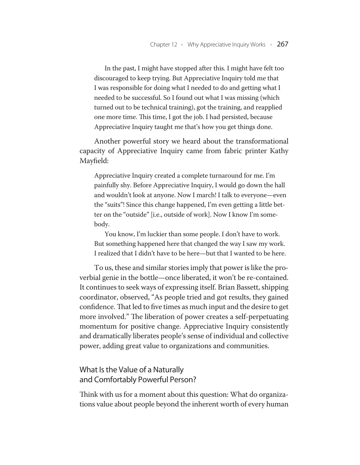In the past, I might have stopped after this. I might have felt too discouraged to keep trying. But Appreciative Inquiry told me that I was responsible for doing what I needed to do and getting what I needed to be successful. So I found out what I was missing (which turned out to be technical training), got the training, and reapplied one more time. This time, I got the job. I had persisted, because Appreciative Inquiry taught me that's how you get things done.

Another powerful story we heard about the transformational capacity of Appreciative Inquiry came from fabric printer Kathy Mayfield:

Appreciative Inquiry created a complete turnaround for me. I'm painfully shy. Before Appreciative Inquiry, I would go down the hall and wouldn't look at anyone. Now I march! I talk to everyone—even the "suits"! Since this change happened, I'm even getting a little better on the "outside" [i.e., outside of work]. Now I know I'm somebody.

You know, I'm luckier than some people. I don't have to work. But something happened here that changed the way I saw my work. I realized that I didn't have to be here—but that I wanted to be here.

To us, these and similar stories imply that power is like the proverbial genie in the bottle—once liberated, it won't be re-contained. It continues to seek ways of expressing itself. Brian Bassett, shipping coordinator, observed, "As people tried and got results, they gained confidence. That led to five times as much input and the desire to get more involved." The liberation of power creates a self-perpetuating momentum for positive change. Appreciative Inquiry consistently and dramatically liberates people's sense of individual and collective power, adding great value to organizations and communities.

#### What Is the Value of a Naturally and Comfortably Powerful Person?

Think with us for a moment about this question: What do organizations value about people beyond the inherent worth of every human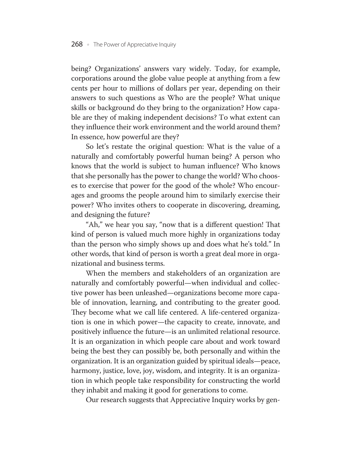being? Organizations' answers vary widely. Today, for example, corporations around the globe value people at anything from a few cents per hour to millions of dollars per year, depending on their answers to such questions as Who are the people? What unique skills or background do they bring to the organization? How capable are they of making independent decisions? To what extent can they influence their work environment and the world around them? In essence, how powerful are they?

So let's restate the original question: What is the value of a naturally and comfortably powerful human being? A person who knows that the world is subject to human influence? Who knows that she personally has the power to change the world? Who chooses to exercise that power for the good of the whole? Who encourages and grooms the people around him to similarly exercise their power? Who invites others to cooperate in discovering, dreaming, and designing the future?

"Ah," we hear you say, "now that is a different question! That kind of person is valued much more highly in organizations today than the person who simply shows up and does what he's told." In other words, that kind of person is worth a great deal more in organizational and business terms.

When the members and stakeholders of an organization are naturally and comfortably powerful—when individual and collective power has been unleashed—organizations become more capable of innovation, learning, and contributing to the greater good. They become what we call life centered. A life-centered organization is one in which power—the capacity to create, innovate, and positively influence the future—is an unlimited relational resource. It is an organization in which people care about and work toward being the best they can possibly be, both personally and within the organization. It is an organization guided by spiritual ideals—peace, harmony, justice, love, joy, wisdom, and integrity. It is an organization in which people take responsibility for constructing the world they inhabit and making it good for generations to come.

Our research suggests that Appreciative Inquiry works by gen-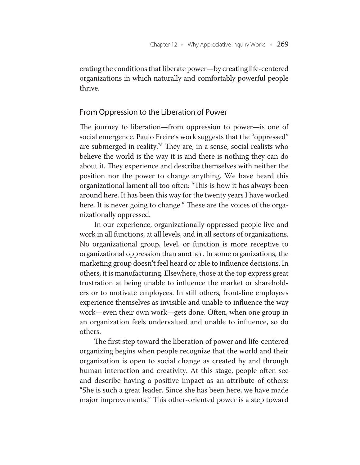erating the conditions that liberate power—by creating life-centered organizations in which naturally and comfortably powerful people thrive.

#### From Oppression to the Liberation of Power

The journey to liberation—from oppression to power—is one of social emergence. Paulo Freire's work suggests that the "oppressed" are submerged in reality.<sup>78</sup> They are, in a sense, social realists who believe the world is the way it is and there is nothing they can do about it. They experience and describe themselves with neither the position nor the power to change anything. We have heard this organizational lament all too often: "This is how it has always been around here. It has been this way for the twenty years I have worked here. It is never going to change." These are the voices of the organizationally oppressed.

In our experience, organizationally oppressed people live and work in all functions, at all levels, and in all sectors of organizations. No organizational group, level, or function is more receptive to organizational oppression than another. In some organizations, the marketing group doesn't feel heard or able to influence decisions. In others, it is manufacturing. Elsewhere, those at the top express great frustration at being unable to influence the market or shareholders or to motivate employees. In still others, front-line employees experience themselves as invisible and unable to influence the way work—even their own work—gets done. Often, when one group in an organization feels undervalued and unable to influence, so do others.

The first step toward the liberation of power and life-centered organizing begins when people recognize that the world and their organization is open to social change as created by and through human interaction and creativity. At this stage, people often see and describe having a positive impact as an attribute of others: "She is such a great leader. Since she has been here, we have made major improvements." This other-oriented power is a step toward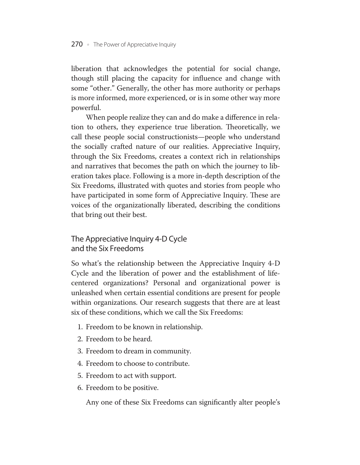liberation that acknowledges the potential for social change, though still placing the capacity for influence and change with some "other." Generally, the other has more authority or perhaps is more informed, more experienced, or is in some other way more powerful.

When people realize they can and do make a difference in relation to others, they experience true liberation. Theoretically, we call these people social constructionists—people who understand the socially crafted nature of our realities. Appreciative Inquiry, through the Six Freedoms, creates a context rich in relationships and narratives that becomes the path on which the journey to liberation takes place. Following is a more in-depth description of the Six Freedoms, illustrated with quotes and stories from people who have participated in some form of Appreciative Inquiry. These are voices of the organizationally liberated, describing the conditions that bring out their best.

#### The Appreciative Inquiry 4-D Cycle and the Six Freedoms

So what's the relationship between the Appreciative Inquiry 4-D Cycle and the liberation of power and the establishment of lifecentered organizations? Personal and organizational power is unleashed when certain essential conditions are present for people within organizations. Our research suggests that there are at least six of these conditions, which we call the Six Freedoms:

- 1. Freedom to be known in relationship.
- 2. Freedom to be heard.
- 3. Freedom to dream in community.
- 4. Freedom to choose to contribute.
- 5. Freedom to act with support.
- 6. Freedom to be positive.

Any one of these Six Freedoms can significantly alter people's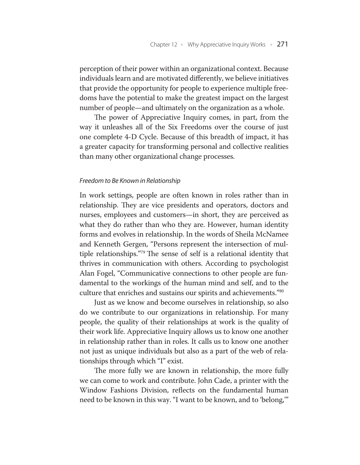perception of their power within an organizational context. Because individuals learn and are motivated differently, we believe initiatives that provide the opportunity for people to experience multiple freedoms have the potential to make the greatest impact on the largest number of people—and ultimately on the organization as a whole.

The power of Appreciative Inquiry comes, in part, from the way it unleashes all of the Six Freedoms over the course of just one complete 4-D Cycle. Because of this breadth of impact, it has a greater capacity for transforming personal and collective realities than many other organizational change processes.

#### Freedom to Be Known in Relationship

In work settings, people are often known in roles rather than in relationship. They are vice presidents and operators, doctors and nurses, employees and customers—in short, they are perceived as what they do rather than who they are. However, human identity forms and evolves in relationship. In the words of Sheila McNamee and Kenneth Gergen, "Persons represent the intersection of multiple relationships."79 The sense of self is a relational identity that thrives in communication with others. According to psychologist Alan Fogel, "Communicative connections to other people are fundamental to the workings of the human mind and self, and to the culture that enriches and sustains our spirits and achievements."80

Just as we know and become ourselves in relationship, so also do we contribute to our organizations in relationship. For many people, the quality of their relationships at work is the quality of their work life. Appreciative Inquiry allows us to know one another in relationship rather than in roles. It calls us to know one another not just as unique individuals but also as a part of the web of relationships through which "I" exist.

The more fully we are known in relationship, the more fully we can come to work and contribute. John Cade, a printer with the Window Fashions Division, reflects on the fundamental human need to be known in this way. "I want to be known, and to 'belong,'"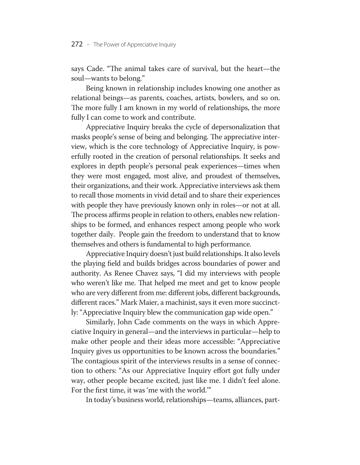says Cade. "The animal takes care of survival, but the heart—the soul—wants to belong."

Being known in relationship includes knowing one another as relational beings—as parents, coaches, artists, bowlers, and so on. The more fully I am known in my world of relationships, the more fully I can come to work and contribute.

Appreciative Inquiry breaks the cycle of depersonalization that masks people's sense of being and belonging. The appreciative interview, which is the core technology of Appreciative Inquiry, is powerfully rooted in the creation of personal relationships. It seeks and explores in depth people's personal peak experiences—times when they were most engaged, most alive, and proudest of themselves, their organizations, and their work. Appreciative interviews ask them to recall those moments in vivid detail and to share their experiences with people they have previously known only in roles—or not at all. The process affirms people in relation to others, enables new relationships to be formed, and enhances respect among people who work together daily. People gain the freedom to understand that to know themselves and others is fundamental to high performance.

Appreciative Inquiry doesn't just build relationships. It also levels the playing field and builds bridges across boundaries of power and authority. As Renee Chavez says, "I did my interviews with people who weren't like me. That helped me meet and get to know people who are very different from me: different jobs, different backgrounds, different races." Mark Maier, a machinist, says it even more succinctly: "Appreciative Inquiry blew the communication gap wide open."

Similarly, John Cade comments on the ways in which Appreciative Inquiry in general—and the interviews in particular—help to make other people and their ideas more accessible: "Appreciative Inquiry gives us opportunities to be known across the boundaries." The contagious spirit of the interviews results in a sense of connection to others: "As our Appreciative Inquiry effort got fully under way, other people became excited, just like me. I didn't feel alone. For the first time, it was 'me with the world.'"

In today's business world, relationships—teams, alliances, part-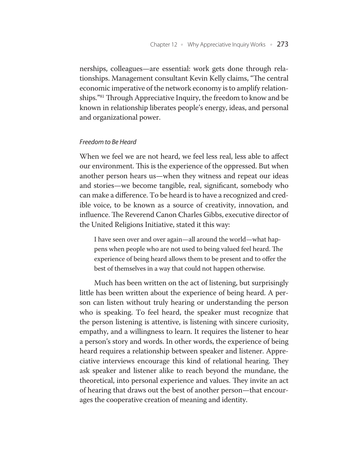nerships, colleagues—are essential: work gets done through relationships. Management consultant Kevin Kelly claims, "The central economic imperative of the network economy is to amplify relationships."<sup>81</sup> Through Appreciative Inquiry, the freedom to know and be known in relationship liberates people's energy, ideas, and personal and organizational power.

#### Freedom to Be Heard

When we feel we are not heard, we feel less real, less able to affect our environment. This is the experience of the oppressed. But when another person hears us—when they witness and repeat our ideas and stories—we become tangible, real, significant, somebody who can make a difference. To be heard is to have a recognized and credible voice, to be known as a source of creativity, innovation, and influence. The Reverend Canon Charles Gibbs, executive director of the United Religions Initiative, stated it this way:

I have seen over and over again—all around the world—what happens when people who are not used to being valued feel heard. The experience of being heard allows them to be present and to offer the best of themselves in a way that could not happen otherwise.

Much has been written on the act of listening, but surprisingly little has been written about the experience of being heard. A person can listen without truly hearing or understanding the person who is speaking. To feel heard, the speaker must recognize that the person listening is attentive, is listening with sincere curiosity, empathy, and a willingness to learn. It requires the listener to hear a person's story and words. In other words, the experience of being heard requires a relationship between speaker and listener. Appreciative interviews encourage this kind of relational hearing. They ask speaker and listener alike to reach beyond the mundane, the theoretical, into personal experience and values. They invite an act of hearing that draws out the best of another person—that encourages the cooperative creation of meaning and identity.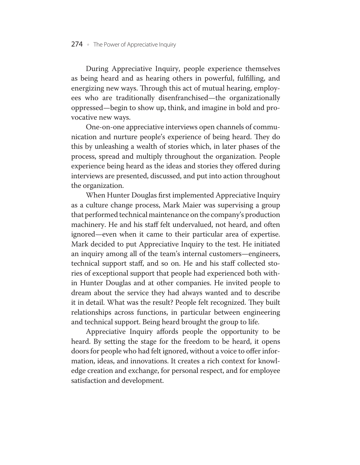During Appreciative Inquiry, people experience themselves as being heard and as hearing others in powerful, fulfilling, and energizing new ways. Through this act of mutual hearing, employees who are traditionally disenfranchised—the organizationally oppressed—begin to show up, think, and imagine in bold and provocative new ways.

One-on-one appreciative interviews open channels of communication and nurture people's experience of being heard. They do this by unleashing a wealth of stories which, in later phases of the process, spread and multiply throughout the organization. People experience being heard as the ideas and stories they offered during interviews are presented, discussed, and put into action throughout the organization.

When Hunter Douglas first implemented Appreciative Inquiry as a culture change process, Mark Maier was supervising a group that performed technical maintenance on the company's production machinery. He and his staff felt undervalued, not heard, and often ignored—even when it came to their particular area of expertise. Mark decided to put Appreciative Inquiry to the test. He initiated an inquiry among all of the team's internal customers—engineers, technical support staff, and so on. He and his staff collected stories of exceptional support that people had experienced both within Hunter Douglas and at other companies. He invited people to dream about the service they had always wanted and to describe it in detail. What was the result? People felt recognized. They built relationships across functions, in particular between engineering and technical support. Being heard brought the group to life.

Appreciative Inquiry affords people the opportunity to be heard. By setting the stage for the freedom to be heard, it opens doors for people who had felt ignored, without a voice to offer information, ideas, and innovations. It creates a rich context for knowledge creation and exchange, for personal respect, and for employee satisfaction and development.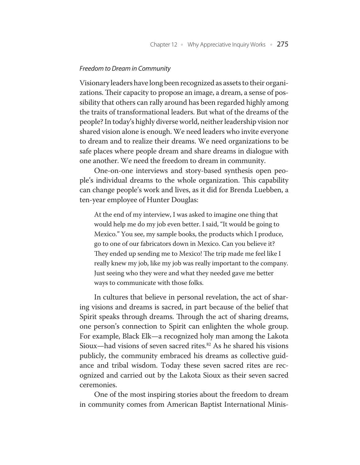#### Freedom to Dream in Community

Visionary leaders have long been recognized as assets to their organizations. Their capacity to propose an image, a dream, a sense of possibility that others can rally around has been regarded highly among the traits of transformational leaders. But what of the dreams of the people? In today's highly diverse world, neither leadership vision nor shared vision alone is enough. We need leaders who invite everyone to dream and to realize their dreams. We need organizations to be safe places where people dream and share dreams in dialogue with one another. We need the freedom to dream in community.

One-on-one interviews and story-based synthesis open people's individual dreams to the whole organization. This capability can change people's work and lives, as it did for Brenda Luebben, a ten-year employee of Hunter Douglas:

At the end of my interview, I was asked to imagine one thing that would help me do my job even better. I said, "It would be going to Mexico." You see, my sample books, the products which I produce, go to one of our fabricators down in Mexico. Can you believe it? They ended up sending me to Mexico! The trip made me feel like I really knew my job, like my job was really important to the company. Just seeing who they were and what they needed gave me better ways to communicate with those folks.

In cultures that believe in personal revelation, the act of sharing visions and dreams is sacred, in part because of the belief that Spirit speaks through dreams. Through the act of sharing dreams, one person's connection to Spirit can enlighten the whole group. For example, Black Elk—a recognized holy man among the Lakota Sioux—had visions of seven sacred rites.<sup>82</sup> As he shared his visions publicly, the community embraced his dreams as collective guidance and tribal wisdom. Today these seven sacred rites are recognized and carried out by the Lakota Sioux as their seven sacred ceremonies.

One of the most inspiring stories about the freedom to dream in community comes from American Baptist International Minis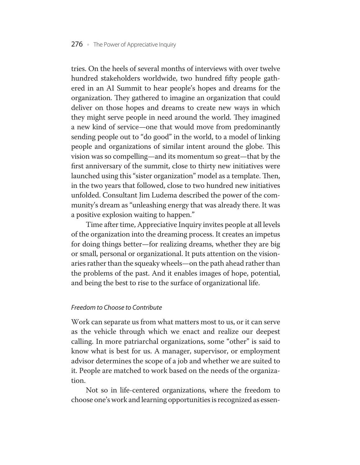tries. On the heels of several months of interviews with over twelve hundred stakeholders worldwide, two hundred fifty people gathered in an AI Summit to hear people's hopes and dreams for the organization. They gathered to imagine an organization that could deliver on those hopes and dreams to create new ways in which they might serve people in need around the world. They imagined a new kind of service—one that would move from predominantly sending people out to "do good" in the world, to a model of linking people and organizations of similar intent around the globe. This vision was so compelling—and its momentum so great—that by the first anniversary of the summit, close to thirty new initiatives were launched using this "sister organization" model as a template. Then, in the two years that followed, close to two hundred new initiatives unfolded. Consultant Jim Ludema described the power of the community's dream as "unleashing energy that was already there. It was a positive explosion waiting to happen."

Time after time, Appreciative Inquiry invites people at all levels of the organization into the dreaming process. It creates an impetus for doing things better—for realizing dreams, whether they are big or small, personal or organizational. It puts attention on the visionaries rather than the squeaky wheels—on the path ahead rather than the problems of the past. And it enables images of hope, potential, and being the best to rise to the surface of organizational life.

#### Freedom to Choose to Contribute

Work can separate us from what matters most to us, or it can serve as the vehicle through which we enact and realize our deepest calling. In more patriarchal organizations, some "other" is said to know what is best for us. A manager, supervisor, or employment advisor determines the scope of a job and whether we are suited to it. People are matched to work based on the needs of the organization.

Not so in life-centered organizations, where the freedom to choose one's work and learning opportunities is recognized as essen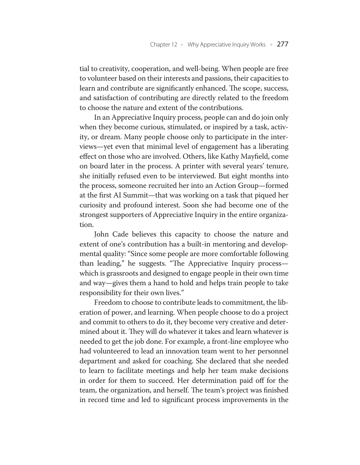tial to creativity, cooperation, and well-being. When people are free to volunteer based on their interests and passions, their capacities to learn and contribute are significantly enhanced. The scope, success, and satisfaction of contributing are directly related to the freedom to choose the nature and extent of the contributions.

In an Appreciative Inquiry process, people can and do join only when they become curious, stimulated, or inspired by a task, activity, or dream. Many people choose only to participate in the interviews—yet even that minimal level of engagement has a liberating effect on those who are involved. Others, like Kathy Mayfield, come on board later in the process. A printer with several years' tenure, she initially refused even to be interviewed. But eight months into the process, someone recruited her into an Action Group—formed at the first AI Summit—that was working on a task that piqued her curiosity and profound interest. Soon she had become one of the strongest supporters of Appreciative Inquiry in the entire organization.

John Cade believes this capacity to choose the nature and extent of one's contribution has a built-in mentoring and developmental quality: "Since some people are more comfortable following than leading," he suggests. "The Appreciative Inquiry process which is grassroots and designed to engage people in their own time and way—gives them a hand to hold and helps train people to take responsibility for their own lives."

Freedom to choose to contribute leads to commitment, the liberation of power, and learning. When people choose to do a project and commit to others to do it, they become very creative and determined about it. They will do whatever it takes and learn whatever is needed to get the job done. For example, a front-line employee who had volunteered to lead an innovation team went to her personnel department and asked for coaching. She declared that she needed to learn to facilitate meetings and help her team make decisions in order for them to succeed. Her determination paid off for the team, the organization, and herself. The team's project was finished in record time and led to significant process improvements in the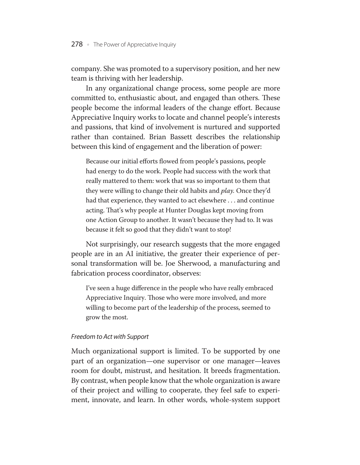company. She was promoted to a supervisory position, and her new team is thriving with her leadership.

In any organizational change process, some people are more committed to, enthusiastic about, and engaged than others. These people become the informal leaders of the change effort. Because Appreciative Inquiry works to locate and channel people's interests and passions, that kind of involvement is nurtured and supported rather than contained. Brian Bassett describes the relationship between this kind of engagement and the liberation of power:

Because our initial efforts flowed from people's passions, people had energy to do the work. People had success with the work that really mattered to them: work that was so important to them that they were willing to change their old habits and *play*. Once they'd had that experience, they wanted to act elsewhere . . . and continue acting. That's why people at Hunter Douglas kept moving from one Action Group to another. It wasn't because they had to. It was because it felt so good that they didn't want to stop!

Not surprisingly, our research suggests that the more engaged people are in an AI initiative, the greater their experience of personal transformation will be. Joe Sherwood, a manufacturing and fabrication process coordinator, observes:

I've seen a huge difference in the people who have really embraced Appreciative Inquiry. Those who were more involved, and more willing to become part of the leadership of the process, seemed to grow the most.

#### Freedom to Act with Support

Much organizational support is limited. To be supported by one part of an organization—one supervisor or one manager—leaves room for doubt, mistrust, and hesitation. It breeds fragmentation. By contrast, when people know that the whole organization is aware of their project and willing to cooperate, they feel safe to experiment, innovate, and learn. In other words, whole-system support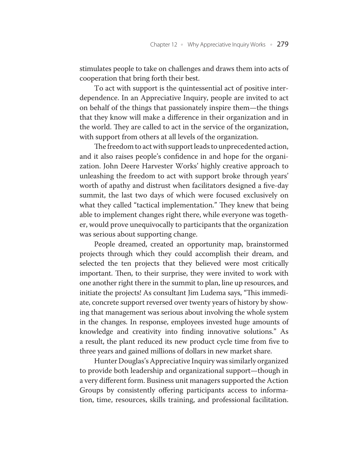stimulates people to take on challenges and draws them into acts of cooperation that bring forth their best.

To act with support is the quintessential act of positive interdependence. In an Appreciative Inquiry, people are invited to act on behalf of the things that passionately inspire them—the things that they know will make a difference in their organization and in the world. They are called to act in the service of the organization, with support from others at all levels of the organization.

The freedom to act with support leads to unprecedented action, and it also raises people's confidence in and hope for the organization. John Deere Harvester Works' highly creative approach to unleashing the freedom to act with support broke through years' worth of apathy and distrust when facilitators designed a five-day summit, the last two days of which were focused exclusively on what they called "tactical implementation." They knew that being able to implement changes right there, while everyone was together, would prove unequivocally to participants that the organization was serious about supporting change.

People dreamed, created an opportunity map, brainstormed projects through which they could accomplish their dream, and selected the ten projects that they believed were most critically important. Then, to their surprise, they were invited to work with one another right there in the summit to plan, line up resources, and initiate the projects! As consultant Jim Ludema says, "This immediate, concrete support reversed over twenty years of history by showing that management was serious about involving the whole system in the changes. In response, employees invested huge amounts of knowledge and creativity into finding innovative solutions." As a result, the plant reduced its new product cycle time from five to three years and gained millions of dollars in new market share.

Hunter Douglas's Appreciative Inquiry was similarly organized to provide both leadership and organizational support—though in a very different form. Business unit managers supported the Action Groups by consistently offering participants access to information, time, resources, skills training, and professional facilitation.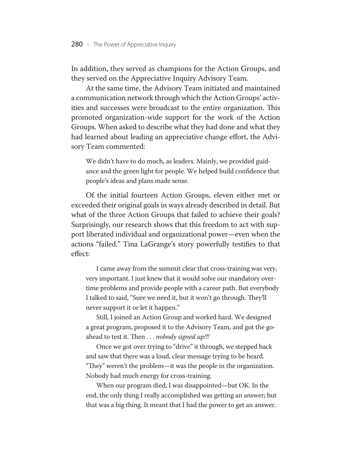In addition, they served as champions for the Action Groups, and they served on the Appreciative Inquiry Advisory Team.

At the same time, the Advisory Team initiated and maintained a communication network through which the Action Groups' activities and successes were broadcast to the entire organization. This promoted organization-wide support for the work of the Action Groups. When asked to describe what they had done and what they had learned about leading an appreciative change effort, the Advisory Team commented:

We didn't have to do much, as leaders. Mainly, we provided guidance and the green light for people. We helped build confidence that people's ideas and plans made sense.

Of the initial fourteen Action Groups, eleven either met or exceeded their original goals in ways already described in detail. But what of the three Action Groups that failed to achieve their goals? Surprisingly, our research shows that this freedom to act with support liberated individual and organizational power—even when the actions "failed." Tina LaGrange's story powerfully testifies to that effect:

I came away from the summit clear that cross-training was very, very important. I just knew that it would solve our mandatory overtime problems and provide people with a career path. But everybody I talked to said, "Sure we need it, but it won't go through. They'll never support it or let it happen."

Still, I joined an Action Group and worked hard. We designed a great program, proposed it to the Advisory Team, and got the goahead to test it. Then  $\ldots$  nobody signed up!!!

Once we got over trying to "drive" it through, we stepped back and saw that there was a loud, clear message trying to be heard. "They" weren't the problem—it was the people in the organization. Nobody had much energy for cross-training.

When our program died, I was disappointed—but OK. In the end, the only thing I really accomplished was getting an answer; but that was a big thing. It meant that I had the power to get an answer.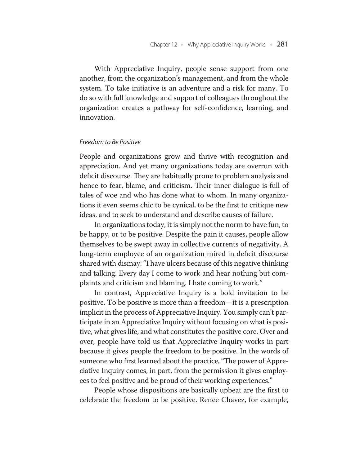With Appreciative Inquiry, people sense support from one another, from the organization's management, and from the whole system. To take initiative is an adventure and a risk for many. To do so with full knowledge and support of colleagues throughout the organization creates a pathway for self-confidence, learning, and innovation.

#### Freedom to Be Positive

People and organizations grow and thrive with recognition and appreciation. And yet many organizations today are overrun with deficit discourse. They are habitually prone to problem analysis and hence to fear, blame, and criticism. Their inner dialogue is full of tales of woe and who has done what to whom. In many organizations it even seems chic to be cynical, to be the first to critique new ideas, and to seek to understand and describe causes of failure.

In organizations today, it is simply not the norm to have fun, to be happy, or to be positive. Despite the pain it causes, people allow themselves to be swept away in collective currents of negativity. A long-term employee of an organization mired in deficit discourse shared with dismay: "I have ulcers because of this negative thinking and talking. Every day I come to work and hear nothing but complaints and criticism and blaming. I hate coming to work."

In contrast, Appreciative Inquiry is a bold invitation to be positive. To be positive is more than a freedom—it is a prescription implicit in the process of Appreciative Inquiry. You simply can't participate in an Appreciative Inquiry without focusing on what is positive, what gives life, and what constitutes the positive core. Over and over, people have told us that Appreciative Inquiry works in part because it gives people the freedom to be positive. In the words of someone who first learned about the practice, "The power of Appreciative Inquiry comes, in part, from the permission it gives employees to feel positive and be proud of their working experiences."

People whose dispositions are basically upbeat are the first to celebrate the freedom to be positive. Renee Chavez, for example,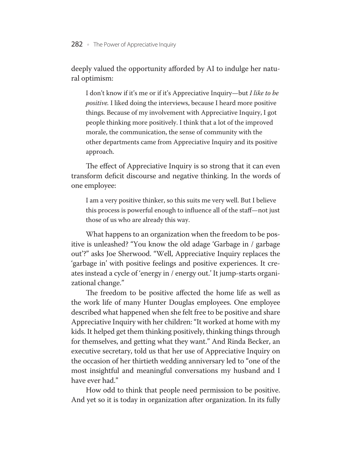deeply valued the opportunity afforded by AI to indulge her natural optimism:

I don't know if it's me or if it's Appreciative Inquiry—but I like to be positive. I liked doing the interviews, because I heard more positive things. Because of my involvement with Appreciative Inquiry, I got people thinking more positively. I think that a lot of the improved morale, the communication, the sense of community with the other departments came from Appreciative Inquiry and its positive approach.

The effect of Appreciative Inquiry is so strong that it can even transform deficit discourse and negative thinking. In the words of one employee:

I am a very positive thinker, so this suits me very well. But I believe this process is powerful enough to influence all of the staff—not just those of us who are already this way.

What happens to an organization when the freedom to be positive is unleashed? "You know the old adage 'Garbage in / garbage out'?" asks Joe Sherwood. "Well, Appreciative Inquiry replaces the 'garbage in' with positive feelings and positive experiences. It creates instead a cycle of 'energy in / energy out.' It jump-starts organizational change."

The freedom to be positive affected the home life as well as the work life of many Hunter Douglas employees. One employee described what happened when she felt free to be positive and share Appreciative Inquiry with her children: "It worked at home with my kids. It helped get them thinking positively, thinking things through for themselves, and getting what they want." And Rinda Becker, an executive secretary, told us that her use of Appreciative Inquiry on the occasion of her thirtieth wedding anniversary led to "one of the most insightful and meaningful conversations my husband and I have ever had."

How odd to think that people need permission to be positive. And yet so it is today in organization after organization. In its fully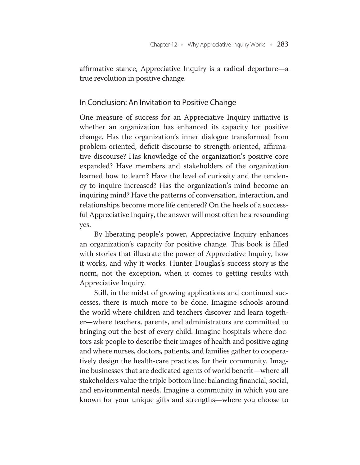affirmative stance, Appreciative Inquiry is a radical departure—a true revolution in positive change.

#### In Conclusion: An Invitation to Positive Change

One measure of success for an Appreciative Inquiry initiative is whether an organization has enhanced its capacity for positive change. Has the organization's inner dialogue transformed from problem-oriented, deficit discourse to strength-oriented, affirmative discourse? Has knowledge of the organization's positive core expanded? Have members and stakeholders of the organization learned how to learn? Have the level of curiosity and the tendency to inquire increased? Has the organization's mind become an inquiring mind? Have the patterns of conversation, interaction, and relationships become more life centered? On the heels of a successful Appreciative Inquiry, the answer will most often be a resounding yes.

By liberating people's power, Appreciative Inquiry enhances an organization's capacity for positive change. This book is filled with stories that illustrate the power of Appreciative Inquiry, how it works, and why it works. Hunter Douglas's success story is the norm, not the exception, when it comes to getting results with Appreciative Inquiry.

Still, in the midst of growing applications and continued successes, there is much more to be done. Imagine schools around the world where children and teachers discover and learn together—where teachers, parents, and administrators are committed to bringing out the best of every child. Imagine hospitals where doctors ask people to describe their images of health and positive aging and where nurses, doctors, patients, and families gather to cooperatively design the health-care practices for their community. Imagine businesses that are dedicated agents of world benefit—where all stakeholders value the triple bottom line: balancing financial, social, and environmental needs. Imagine a community in which you are known for your unique gifts and strengths—where you choose to